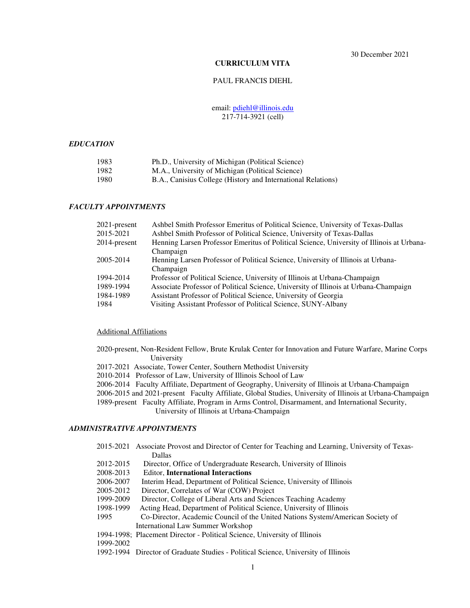30 December 2021

# **CURRICULUM VITA**

### PAUL FRANCIS DIEHL

## email: pdiehl@illinois.edu 217-714-3921 (cell)

# *EDUCATION*

| 1983 | Ph.D., University of Michigan (Political Science)            |
|------|--------------------------------------------------------------|
| 1982 | M.A., University of Michigan (Political Science)             |
| 1980 | B.A., Canisius College (History and International Relations) |

# *FACULTY APPOINTMENTS*

| $2021$ -present | Ashbel Smith Professor Emeritus of Political Science, University of Texas-Dallas          |
|-----------------|-------------------------------------------------------------------------------------------|
| 2015-2021       | Ashbel Smith Professor of Political Science, University of Texas-Dallas                   |
| 2014-present    | Henning Larsen Professor Emeritus of Political Science, University of Illinois at Urbana- |
|                 | Champaign                                                                                 |
| 2005-2014       | Henning Larsen Professor of Political Science, University of Illinois at Urbana-          |
|                 | Champaign                                                                                 |
| 1994-2014       | Professor of Political Science, University of Illinois at Urbana-Champaign                |
| 1989-1994       | Associate Professor of Political Science, University of Illinois at Urbana-Champaign      |
| 1984-1989       | Assistant Professor of Political Science, University of Georgia                           |
| 1984            | Visiting Assistant Professor of Political Science, SUNY-Albany                            |
|                 |                                                                                           |

#### Additional Affiliations

- 2020-present, Non-Resident Fellow, Brute Krulak Center for Innovation and Future Warfare, Marine Corps University
- 2017-2021 Associate, Tower Center, Southern Methodist University
- 2010-2014 Professor of Law, University of Illinois School of Law
- 2006-2014 Faculty Affiliate, Department of Geography, University of Illinois at Urbana-Champaign

 2006-2015 and 2021-present Faculty Affiliate, Global Studies, University of Illinois at Urbana-Champaign 1989-present Faculty Affiliate, Program in Arms Control, Disarmament, and International Security,

University of Illinois at Urbana-Champaign

# *ADMINISTRATIVE APPOINTMENTS*

- 2015-2021 Associate Provost and Director of Center for Teaching and Learning, University of Texas- Dallas
- 2012-2015 Director, Office of Undergraduate Research, University of Illinois<br>2008-2013 Editor. International Interactions
- 2008-2013 Editor, **International Interactions**
- 2006-2007 Interim Head, Department of Political Science, University of Illinois
- 2005-2012 Director, Correlates of War (COW) Project
- 1999-2009 Director, College of Liberal Arts and Sciences Teaching Academy
- 1998-1999 Acting Head, Department of Political Science, University of Illinois
- 1995 Co-Director, Academic Council of the United Nations System/American Society of International Law Summer Workshop
- 1994-1998; Placement Director Political Science, University of Illinois
- 1999-2002
- 1992-1994 Director of Graduate Studies Political Science, University of Illinois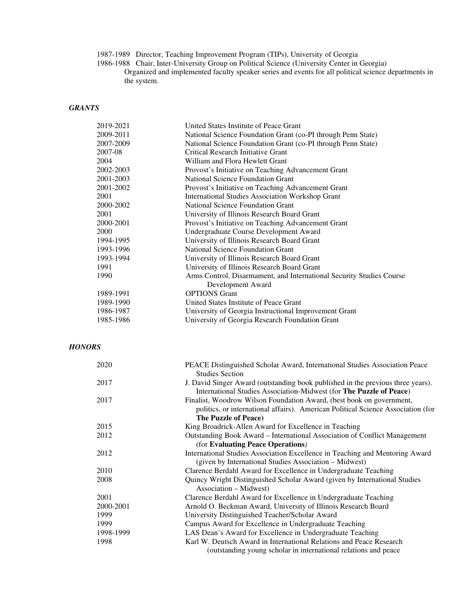1987-1989 Director, Teaching Improvement Program (TIPs), University of Georgia

1986-1988 Chair, Inter-University Group on Political Science (University Center in Georgia)

Organized and implemented faculty speaker series and events for all political science departments in the system.

# *GRANTS*

| 2019-2021 | United States Institute of Peace Grant                               |
|-----------|----------------------------------------------------------------------|
| 2009-2011 | National Science Foundation Grant (co-PI through Penn State)         |
| 2007-2009 | National Science Foundation Grant (co-PI through Penn State)         |
| 2007-08   | Critical Research Initiative Grant                                   |
| 2004      | William and Flora Hewlett Grant                                      |
| 2002-2003 | Provost's Initiative on Teaching Advancement Grant                   |
| 2001-2003 | <b>National Science Foundation Grant</b>                             |
| 2001-2002 | Provost's Initiative on Teaching Advancement Grant                   |
| 2001      | <b>International Studies Association Workshop Grant</b>              |
| 2000-2002 | National Science Foundation Grant                                    |
| 2001      | University of Illinois Research Board Grant                          |
| 2000-2001 | Provost's Initiative on Teaching Advancement Grant                   |
| 2000      | Undergraduate Course Development Award                               |
| 1994-1995 | University of Illinois Research Board Grant                          |
| 1993-1996 | <b>National Science Foundation Grant</b>                             |
| 1993-1994 | University of Illinois Research Board Grant                          |
| 1991      | University of Illinois Research Board Grant                          |
| 1990      | Arms Control, Disarmament, and International Security Studies Course |
|           | Development Award                                                    |
| 1989-1991 | <b>OPTIONS</b> Grant                                                 |
| 1989-1990 | United States Institute of Peace Grant                               |
| 1986-1987 | University of Georgia Instructional Improvement Grant                |
| 1985-1986 | University of Georgia Research Foundation Grant                      |

# *HONORS*

| 2020      | PEACE Distinguished Scholar Award, International Studies Association Peace<br><b>Studies Section</b>                                                     |
|-----------|----------------------------------------------------------------------------------------------------------------------------------------------------------|
| 2017      | J. David Singer Award (outstanding book published in the previous three years).<br>International Studies Association-Midwest (for The Puzzle of Peace)   |
| 2017      | Finalist, Woodrow Wilson Foundation Award, (best book on government,<br>politics, or international affairs). American Political Science Association (for |
|           | <b>The Puzzle of Peace)</b>                                                                                                                              |
| 2015      | King Broadrick-Allen Award for Excellence in Teaching                                                                                                    |
| 2012      | Outstanding Book Award – International Association of Conflict Management                                                                                |
|           | (for Evaluating Peace Operations)                                                                                                                        |
| 2012      | International Studies Association Excellence in Teaching and Mentoring Award<br>(given by International Studies Association - Midwest)                   |
| 2010      | Clarence Berdahl Award for Excellence in Undergraduate Teaching                                                                                          |
| 2008      | Quincy Wright Distinguished Scholar Award (given by International Studies<br>Association – Midwest)                                                      |
| 2001      | Clarence Berdahl Award for Excellence in Undergraduate Teaching                                                                                          |
| 2000-2001 | Arnold O. Beckman Award, University of Illinois Research Board                                                                                           |
| 1999      | University Distinguished Teacher/Scholar Award                                                                                                           |
| 1999      | Campus Award for Excellence in Undergraduate Teaching                                                                                                    |
| 1998-1999 | LAS Dean's Award for Excellence in Undergraduate Teaching                                                                                                |
| 1998      | Karl W. Deutsch Award in International Relations and Peace Research                                                                                      |
|           | (outstanding young scholar in international relations and peace)                                                                                         |
|           |                                                                                                                                                          |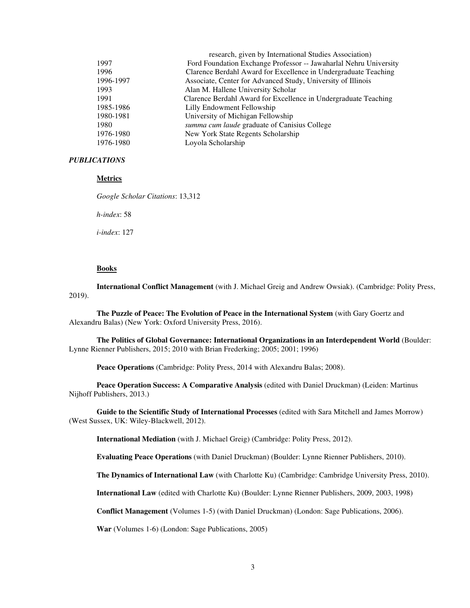|           | research, given by International Studies Association)             |
|-----------|-------------------------------------------------------------------|
| 1997      | Ford Foundation Exchange Professor -- Jawaharlal Nehru University |
| 1996      | Clarence Berdahl Award for Excellence in Undergraduate Teaching   |
| 1996-1997 | Associate, Center for Advanced Study, University of Illinois      |
| 1993      | Alan M. Hallene University Scholar                                |
| 1991      | Clarence Berdahl Award for Excellence in Undergraduate Teaching   |
| 1985-1986 | Lilly Endowment Fellowship                                        |
| 1980-1981 | University of Michigan Fellowship                                 |
| 1980      | summa cum laude graduate of Canisius College                      |
| 1976-1980 | New York State Regents Scholarship                                |
| 1976-1980 | Loyola Scholarship                                                |
|           |                                                                   |

# *PUBLICATIONS*

# **Metrics**

*Google Scholar Citations*: 13,312

*h-index*: 58

*i-index*: 127

## **Books**

**International Conflict Management** (with J. Michael Greig and Andrew Owsiak). (Cambridge: Polity Press, 2019).

**The Puzzle of Peace: The Evolution of Peace in the International System** (with Gary Goertz and Alexandru Balas) (New York: Oxford University Press, 2016).

**The Politics of Global Governance: International Organizations in an Interdependent World** (Boulder: Lynne Rienner Publishers, 2015; 2010 with Brian Frederking; 2005; 2001; 1996)

**Peace Operations** (Cambridge: Polity Press, 2014 with Alexandru Balas; 2008).

**Peace Operation Success: A Comparative Analysis** (edited with Daniel Druckman) (Leiden: Martinus Nijhoff Publishers, 2013.)

**Guide to the Scientific Study of International Processes** (edited with Sara Mitchell and James Morrow) (West Sussex, UK: Wiley-Blackwell, 2012).

**International Mediation** (with J. Michael Greig) (Cambridge: Polity Press, 2012).

 **Evaluating Peace Operations** (with Daniel Druckman) (Boulder: Lynne Rienner Publishers, 2010).

**The Dynamics of International Law** (with Charlotte Ku) (Cambridge: Cambridge University Press, 2010).

**International Law** (edited with Charlotte Ku) (Boulder: Lynne Rienner Publishers, 2009, 2003, 1998)

**Conflict Management** (Volumes 1-5) (with Daniel Druckman) (London: Sage Publications, 2006).

**War** (Volumes 1-6) (London: Sage Publications, 2005)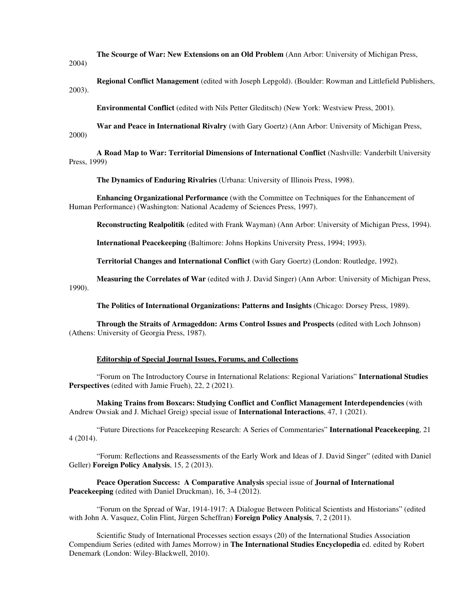**The Scourge of War: New Extensions on an Old Problem** (Ann Arbor: University of Michigan Press,

2004)

**Regional Conflict Management** (edited with Joseph Lepgold). (Boulder: Rowman and Littlefield Publishers, 2003).

**Environmental Conflict** (edited with Nils Petter Gleditsch) (New York: Westview Press, 2001).

**War and Peace in International Rivalry** (with Gary Goertz) (Ann Arbor: University of Michigan Press, 2000)

**A Road Map to War: Territorial Dimensions of International Conflict** (Nashville: Vanderbilt University Press, 1999)

**The Dynamics of Enduring Rivalries** (Urbana: University of Illinois Press, 1998).

**Enhancing Organizational Performance** (with the Committee on Techniques for the Enhancement of Human Performance) (Washington: National Academy of Sciences Press, 1997).

**Reconstructing Realpolitik** (edited with Frank Wayman) (Ann Arbor: University of Michigan Press, 1994).

**International Peacekeeping** (Baltimore: Johns Hopkins University Press, 1994; 1993).

**Territorial Changes and International Conflict** (with Gary Goertz) (London: Routledge, 1992).

**Measuring the Correlates of War** (edited with J. David Singer) (Ann Arbor: University of Michigan Press, 1990).

**The Politics of International Organizations: Patterns and Insights** (Chicago: Dorsey Press, 1989).

**Through the Straits of Armageddon: Arms Control Issues and Prospects** (edited with Loch Johnson) (Athens: University of Georgia Press, 1987).

# **Editorship of Special Journal Issues, Forums, and Collections**

 "Forum on The Introductory Course in International Relations: Regional Variations" **International Studies**  Perspectives (edited with Jamie Frueh), 22, 2 (2021).

**Making Trains from Boxcars: Studying Conflict and Conflict Management Interdependencies** (with Andrew Owsiak and J. Michael Greig) special issue of **International Interactions**, 47, 1 (2021).

 "Future Directions for Peacekeeping Research: A Series of Commentaries" **International Peacekeeping**, 21 4 (2014).

 "Forum: Reflections and Reassessments of the Early Work and Ideas of J. David Singer" (edited with Daniel Geller) **Foreign Policy Analysis**, 15, 2 (2013).

**Peace Operation Success: A Comparative Analysis** special issue of **Journal of International Peacekeeping** (edited with Daniel Druckman), 16, 3-4 (2012).

 "Forum on the Spread of War, 1914-1917: A Dialogue Between Political Scientists and Historians" (edited with John A. Vasquez, Colin Flint, Jürgen Scheffran) **Foreign Policy Analysis**, 7, 2 (2011).

 Scientific Study of International Processes section essays (20) of the International Studies Association Compendium Series (edited with James Morrow) in **The International Studies Encyclopedia** ed. edited by Robert Denemark (London: Wiley-Blackwell, 2010).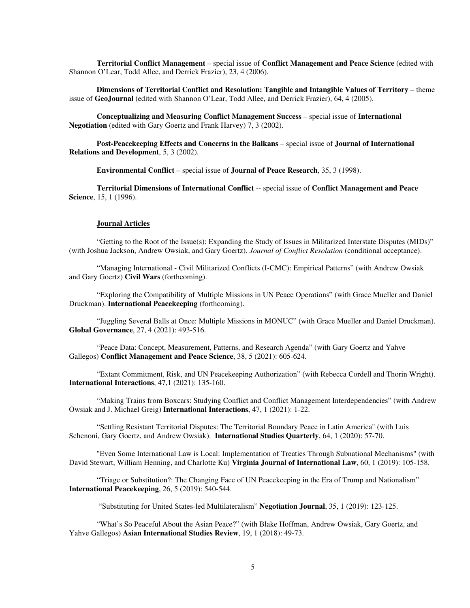**Territorial Conflict Management** – special issue of **Conflict Management and Peace Science** (edited with Shannon O'Lear, Todd Allee, and Derrick Frazier), 23, 4 (2006).

**Dimensions of Territorial Conflict and Resolution: Tangible and Intangible Values of Territory** – theme issue of **GeoJournal** (edited with Shannon O'Lear, Todd Allee, and Derrick Frazier), 64, 4 (2005).

**Conceptualizing and Measuring Conflict Management Success** – special issue of **International Negotiation** (edited with Gary Goertz and Frank Harvey) 7, 3 (2002).

**Post-Peacekeeping Effects and Concerns in the Balkans** – special issue of **Journal of International Relations and Development**, 5, 3 (2002).

**Environmental Conflict** – special issue of **Journal of Peace Research**, 35, 3 (1998).

**Territorial Dimensions of International Conflict** -- special issue of **Conflict Management and Peace Science**, 15, 1 (1996).

## **Journal Articles**

"Getting to the Root of the Issue(s): Expanding the Study of Issues in Militarized Interstate Disputes (MIDs)" (with Joshua Jackson, Andrew Owsiak, and Gary Goertz). *Journal of Conflict Resolution* (conditional acceptance).

"Managing International - Civil Militarized Conflicts (I-CMC): Empirical Patterns" (with Andrew Owsiak and Gary Goertz) **Civil Wars** (forthcoming).

"Exploring the Compatibility of Multiple Missions in UN Peace Operations" (with Grace Mueller and Daniel Druckman). **International Peacekeeping** (forthcoming).

"Juggling Several Balls at Once: Multiple Missions in MONUC" (with Grace Mueller and Daniel Druckman). **Global Governance**, 27, 4 (2021): 493-516.

"Peace Data: Concept, Measurement, Patterns, and Research Agenda" (with Gary Goertz and Yahve Gallegos) **Conflict Management and Peace Science**, 38, 5 (2021): 605-624.

"Extant Commitment, Risk, and UN Peacekeeping Authorization" (with Rebecca Cordell and Thorin Wright). **International Interactions**, 47,1 (2021): 135-160.

"Making Trains from Boxcars: Studying Conflict and Conflict Management Interdependencies" (with Andrew Owsiak and J. Michael Greig) **International Interactions**, 47, 1 (2021): 1-22.

"Settling Resistant Territorial Disputes: The Territorial Boundary Peace in Latin America" (with Luis Schenoni, Gary Goertz, and Andrew Owsiak). **International Studies Quarterly**, 64, 1 (2020): 57-70.

"Even Some International Law is Local: Implementation of Treaties Through Subnational Mechanisms" (with David Stewart, William Henning, and Charlotte Ku) **Virginia Journal of International Law**, 60, 1 (2019): 105-158.

"Triage or Substitution?: The Changing Face of UN Peacekeeping in the Era of Trump and Nationalism" **International Peacekeeping**, 26, 5 (2019): 540-544.

"Substituting for United States-led Multilateralism" **Negotiation Journal**, 35, 1 (2019): 123-125.

"What's So Peaceful About the Asian Peace?" (with Blake Hoffman, Andrew Owsiak, Gary Goertz, and Yahve Gallegos) **Asian International Studies Review**, 19, 1 (2018): 49-73.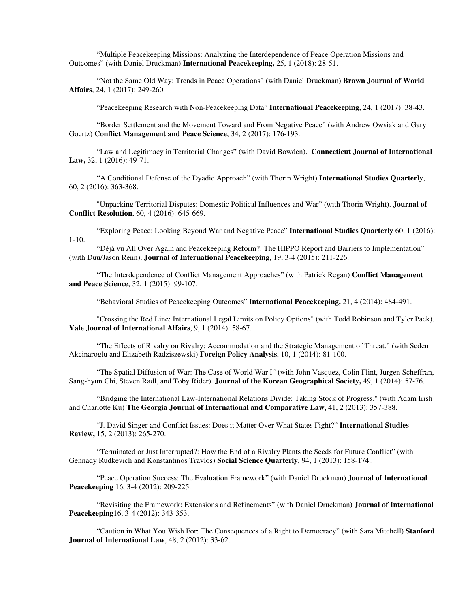"Multiple Peacekeeping Missions: Analyzing the Interdependence of Peace Operation Missions and Outcomes" (with Daniel Druckman) **International Peacekeeping,** 25, 1 (2018): 28-51.

"Not the Same Old Way: Trends in Peace Operations" (with Daniel Druckman) **Brown Journal of World Affairs**, 24, 1 (2017): 249-260.

"Peacekeeping Research with Non-Peacekeeping Data" **International Peacekeeping**, 24, 1 (2017): 38-43.

"Border Settlement and the Movement Toward and From Negative Peace" (with Andrew Owsiak and Gary Goertz) **Conflict Management and Peace Science**, 34, 2 (2017): 176-193.

"Law and Legitimacy in Territorial Changes" (with David Bowden). **Connecticut Journal of International Law,** 32, 1 (2016): 49-71.

"A Conditional Defense of the Dyadic Approach" (with Thorin Wright) **International Studies Quarterly**, 60, 2 (2016): 363-368.

"Unpacking Territorial Disputes: Domestic Political Influences and War" (with Thorin Wright). **Journal of Conflict Resolution**, 60, 4 (2016): 645-669.

"Exploring Peace: Looking Beyond War and Negative Peace" **International Studies Quarterly** 60, 1 (2016): 1-10.

"Déjà vu All Over Again and Peacekeeping Reform?: The HIPPO Report and Barriers to Implementation" (with Duu/Jason Renn). **Journal of International Peacekeeping**, 19, 3-4 (2015): 211-226.

"The Interdependence of Conflict Management Approaches" (with Patrick Regan) **Conflict Management and Peace Science**, 32, 1 (2015): 99-107.

"Behavioral Studies of Peacekeeping Outcomes" **International Peacekeeping,** 21, 4 (2014): 484-491.

"Crossing the Red Line: International Legal Limits on Policy Options" (with Todd Robinson and Tyler Pack). **Yale Journal of International Affairs**, 9, 1 (2014): 58-67.

"The Effects of Rivalry on Rivalry: Accommodation and the Strategic Management of Threat." (with Seden Akcinaroglu and Elizabeth Radziszewski) **Foreign Policy Analysis**, 10, 1 (2014): 81-100.

"The Spatial Diffusion of War: The Case of World War I" (with John Vasquez, Colin Flint, Jürgen Scheffran, Sang-hyun Chi, Steven Radl, and Toby Rider). **Journal of the Korean Geographical Society,** 49, 1 (2014): 57-76.

"Bridging the International Law-International Relations Divide: Taking Stock of Progress." (with Adam Irish and Charlotte Ku) **The Georgia Journal of International and Comparative Law,** 41, 2 (2013): 357-388.

"J. David Singer and Conflict Issues: Does it Matter Over What States Fight?" **International Studies Review,** 15, 2 (2013): 265-270.

"Terminated or Just Interrupted?: How the End of a Rivalry Plants the Seeds for Future Conflict" (with Gennady Rudkevich and Konstantinos Travlos) **Social Science Quarterly**, 94, 1 (2013): 158-174..

"Peace Operation Success: The Evaluation Framework" (with Daniel Druckman) **Journal of International Peacekeeping** 16, 3-4 (2012): 209-225.

"Revisiting the Framework: Extensions and Refinements" (with Daniel Druckman) **Journal of International Peacekeeping**16, 3-4 (2012): 343-353.

"Caution in What You Wish For: The Consequences of a Right to Democracy" (with Sara Mitchell) **Stanford Journal of International Law**, 48, 2 (2012): 33-62.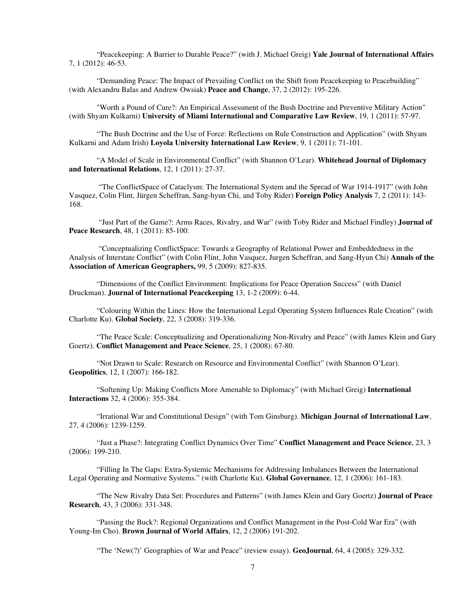"Peacekeeping: A Barrier to Durable Peace?" (with J. Michael Greig) **Yale Journal of International Affairs** 7, 1 (2012): 46-53.

"Demanding Peace: The Impact of Prevailing Conflict on the Shift from Peacekeeping to Peacebuilding" (with Alexandru Balas and Andrew Owsiak) **Peace and Change**, 37, 2 (2012): 195-226.

"Worth a Pound of Cure?: An Empirical Assessment of the Bush Doctrine and Preventive Military Action" (with Shyam Kulkarni) **University of Miami International and Comparative Law Review**, 19, 1 (2011): 57-97.

"The Bush Doctrine and the Use of Force: Reflections on Rule Construction and Application" (with Shyam Kulkarni and Adam Irish) **Loyola University International Law Review**, 9, 1 (2011): 71-101.

"A Model of Scale in Environmental Conflict" (with Shannon O'Lear). **Whitehead Journal of Diplomacy and International Relations**, 12, 1 (2011): 27-37.

 "The ConflictSpace of Cataclysm: The International System and the Spread of War 1914-1917" (with John Vasquez, Colin Flint, Jürgen Scheffran, Sang-hyun Chi, and Toby Rider) **Foreign Policy Analysis** 7, 2 (2011): 143- 168.

 "Just Part of the Game?: Arms Races, Rivalry, and War" (with Toby Rider and Michael Findley) **Journal of Peace Research**, 48, 1 (2011): 85-100.

 "Conceptualizing ConflictSpace: Towards a Geography of Relational Power and Embeddedness in the Analysis of Interstate Conflict" (with Colin Flint, John Vasquez, Jurgen Scheffran, and Sang-Hyun Chi) **Annals of the Association of American Geographers,** 99, 5 (2009): 827-835.

"Dimensions of the Conflict Environment: Implications for Peace Operation Success" (with Daniel Druckman). **Journal of International Peacekeeping** 13, 1-2 (2009): 6-44.

"Colouring Within the Lines: How the International Legal Operating System Influences Rule Creation" (with Charlotte Ku). **Global Society**, 22, 3 (2008): 319-336.

"The Peace Scale: Conceptualizing and Operationalizing Non-Rivalry and Peace" (with James Klein and Gary Goertz). **Conflict Management and Peace Science**, 25, 1 (2008): 67-80.

"Not Drawn to Scale: Research on Resource and Environmental Conflict" (with Shannon O'Lear). **Geopolitics**, 12, 1 (2007): 166-182.

"Softening Up: Making Conflicts More Amenable to Diplomacy" (with Michael Greig) **International Interactions** 32, 4 (2006): 355-384.

"Irrational War and Constitutional Design" (with Tom Ginsburg). **Michigan Journal of International Law**, 27, 4 (2006): 1239-1259.

"Just a Phase?: Integrating Conflict Dynamics Over Time" **Conflict Management and Peace Science**, 23, 3 (2006): 199-210.

"Filling In The Gaps: Extra-Systemic Mechanisms for Addressing Imbalances Between the International Legal Operating and Normative Systems." (with Charlotte Ku). **Global Governance**, 12, 1 (2006): 161-183.

"The New Rivalry Data Set: Procedures and Patterns" (with James Klein and Gary Goertz) **Journal of Peace Research**, 43, 3 (2006): 331-348.

"Passing the Buck?: Regional Organizations and Conflict Management in the Post-Cold War Era" (with Young-Im Cho). **Brown Journal of World Affairs**, 12, 2 (2006) 191-202.

"The 'New(?)' Geographies of War and Peace" (review essay). **GeoJournal**, 64, 4 (2005): 329-332.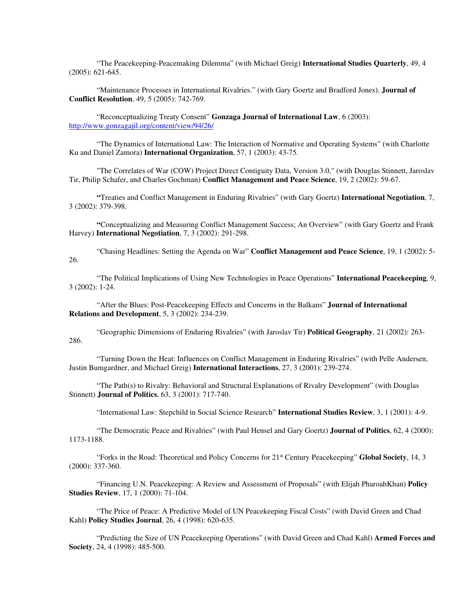"The Peacekeeping-Peacemaking Dilemma" (with Michael Greig) **International Studies Quarterly**, 49, 4 (2005): 621-645.

"Maintenance Processes in International Rivalries." (with Gary Goertz and Bradford Jones). **Journal of Conflict Resolution**, 49, 5 (2005): 742-769.

"Reconceptualizing Treaty Consent" **Gonzaga Journal of International Law**, 6 (2003): http://www.gonzagajil.org/content/view/94/26/

"The Dynamics of International Law: The Interaction of Normative and Operating Systems" (with Charlotte Ku and Daniel Zamora) **International Organization**, 57, 1 (2003): 43-75.

"The Correlates of War (COW) Project Direct Contiguity Data, Version 3.0," (with Douglas Stinnett, Jaroslav Tir, Philip Schafer, and Charles Gochman) **Conflict Management and Peace Science**, 19, 2 (2002): 59-67.

 **"**Treaties and Conflict Management in Enduring Rivalries" (with Gary Goertz) **International Negotiation**, 7, 3 (2002): 379-398.

 **"**Conceptualizing and Measuring Conflict Management Success; An Overview" (with Gary Goertz and Frank Harvey) **International Negotiation**, 7, 3 (2002): 291-298.

 "Chasing Headlines: Setting the Agenda on War" **Conflict Management and Peace Science**, 19, 1 (2002): 5- 26.

"The Political Implications of Using New Technologies in Peace Operations" **International Peacekeeping**, 9, 3 (2002): 1-24.

 "After the Blues: Post-Peacekeeping Effects and Concerns in the Balkans" **Journal of International Relations and Development**, 5, 3 (2002): 234-239.

"Geographic Dimensions of Enduring Rivalries" (with Jaroslav Tir) **Political Geography**, 21 (2002): 263- 286.

 "Turning Down the Heat: Influences on Conflict Management in Enduring Rivalries" (with Pelle Andersen, Justin Bumgardner, and Michael Greig) **International Interactions**, 27, 3 (2001): 239-274.

"The Path(s) to Rivalry: Behavioral and Structural Explanations of Rivalry Development" (with Douglas Stinnett) **Journal of Politics**, 63, 3 (2001): 717-740.

"International Law: Stepchild in Social Science Research" **International Studies Review**, 3, 1 (2001): 4-9.

 "The Democratic Peace and Rivalries" (with Paul Hensel and Gary Goertz) **Journal of Politics**, 62, 4 (2000): 1173-1188.

 "Forks in the Road: Theoretical and Policy Concerns for 21st Century Peacekeeping" **Global Society**, 14, 3 (2000): 337-360.

 "Financing U.N. Peacekeeping: A Review and Assessment of Proposals" (with Elijah PharoahKhan) **Policy Studies Review**, 17, 1 (2000): 71-104.

 "The Price of Peace: A Predictive Model of UN Peacekeeping Fiscal Costs" (with David Green and Chad Kahl) **Policy Studies Journal**, 26, 4 (1998): 620-635.

 "Predicting the Size of UN Peacekeeping Operations" (with David Green and Chad Kahl) **Armed Forces and Society**, 24, 4 (1998): 485-500.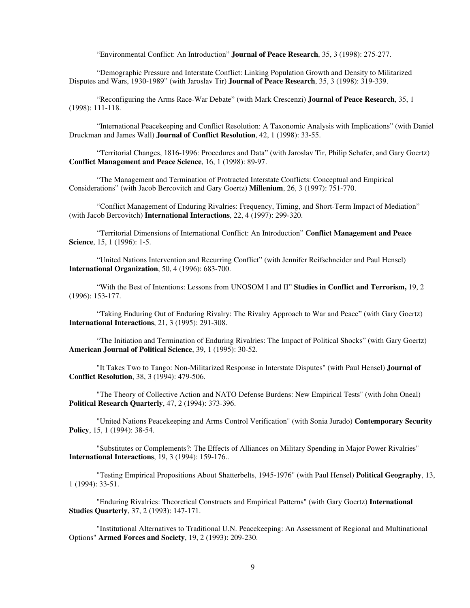"Environmental Conflict: An Introduction" **Journal of Peace Research**, 35, 3 (1998): 275-277.

 "Demographic Pressure and Interstate Conflict: Linking Population Growth and Density to Militarized Disputes and Wars, 1930-1989" (with Jaroslav Tir) **Journal of Peace Research**, 35, 3 (1998): 319-339.

 "Reconfiguring the Arms Race-War Debate" (with Mark Crescenzi) **Journal of Peace Research**, 35, 1 (1998): 111-118.

 "International Peacekeeping and Conflict Resolution: A Taxonomic Analysis with Implications" (with Daniel Druckman and James Wall) **Journal of Conflict Resolution**, 42, 1 (1998): 33-55.

 "Territorial Changes, 1816-1996: Procedures and Data" (with Jaroslav Tir, Philip Schafer, and Gary Goertz) **Conflict Management and Peace Science**, 16, 1 (1998): 89-97.

 "The Management and Termination of Protracted Interstate Conflicts: Conceptual and Empirical Considerations" (with Jacob Bercovitch and Gary Goertz) **Millenium**, 26, 3 (1997): 751-770.

 "Conflict Management of Enduring Rivalries: Frequency, Timing, and Short-Term Impact of Mediation" (with Jacob Bercovitch) **International Interactions**, 22, 4 (1997): 299-320.

 "Territorial Dimensions of International Conflict: An Introduction" **Conflict Management and Peace Science**, 15, 1 (1996): 1-5.

 "United Nations Intervention and Recurring Conflict" (with Jennifer Reifschneider and Paul Hensel) **International Organization**, 50, 4 (1996): 683-700.

 "With the Best of Intentions: Lessons from UNOSOM I and II" **Studies in Conflict and Terrorism,** 19, 2 (1996): 153-177.

 "Taking Enduring Out of Enduring Rivalry: The Rivalry Approach to War and Peace" (with Gary Goertz) **International Interactions**, 21, 3 (1995): 291-308.

 "The Initiation and Termination of Enduring Rivalries: The Impact of Political Shocks" (with Gary Goertz) **American Journal of Political Science**, 39, 1 (1995): 30-52.

 "It Takes Two to Tango: Non-Militarized Response in Interstate Disputes" (with Paul Hensel) **Journal of Conflict Resolution**, 38, 3 (1994): 479-506.

 "The Theory of Collective Action and NATO Defense Burdens: New Empirical Tests" (with John Oneal) **Political Research Quarterly**, 47, 2 (1994): 373-396.

 "United Nations Peacekeeping and Arms Control Verification" (with Sonia Jurado) **Contemporary Security Policy**, 15, 1 (1994): 38-54.

 "Substitutes or Complements?: The Effects of Alliances on Military Spending in Major Power Rivalries" **International Interactions**, 19, 3 (1994): 159-176..

 "Testing Empirical Propositions About Shatterbelts, 1945-1976" (with Paul Hensel) **Political Geography**, 13, 1 (1994): 33-51.

 "Enduring Rivalries: Theoretical Constructs and Empirical Patterns" (with Gary Goertz) **International Studies Quarterly**, 37, 2 (1993): 147-171.

 "Institutional Alternatives to Traditional U.N. Peacekeeping: An Assessment of Regional and Multinational Options" **Armed Forces and Society**, 19, 2 (1993): 209-230.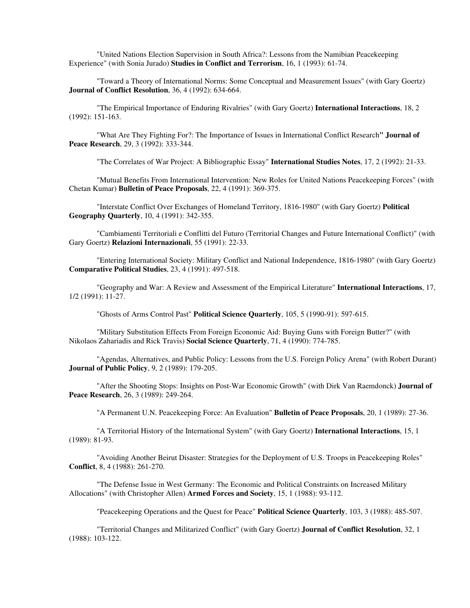"United Nations Election Supervision in South Africa?: Lessons from the Namibian Peacekeeping Experience" (with Sonia Jurado) **Studies in Conflict and Terrorism**, 16, 1 (1993): 61-74.

 "Toward a Theory of International Norms: Some Conceptual and Measurement Issues" (with Gary Goertz) **Journal of Conflict Resolution**, 36, 4 (1992): 634-664.

 "The Empirical Importance of Enduring Rivalries" (with Gary Goertz) **International Interactions**, 18, 2 (1992): 151-163.

 "What Are They Fighting For?: The Importance of Issues in International Conflict Research**" Journal of Peace Research**, 29, 3 (1992): 333-344.

"The Correlates of War Project: A Bibliographic Essay" **International Studies Notes**, 17, 2 (1992): 21-33.

 "Mutual Benefits From International Intervention: New Roles for United Nations Peacekeeping Forces" (with Chetan Kumar) **Bulletin of Peace Proposals**, 22, 4 (1991): 369-375.

 "Interstate Conflict Over Exchanges of Homeland Territory, 1816-1980" (with Gary Goertz) **Political Geography Quarterly**, 10, 4 (1991): 342-355.

 "Cambiamenti Territoriali e Conflitti del Futuro (Territorial Changes and Future International Conflict)" (with Gary Goertz) **Relazioni Internazionali**, 55 (1991): 22-33.

 "Entering International Society: Military Conflict and National Independence, 1816-1980" (with Gary Goertz) **Comparative Political Studies**, 23, 4 (1991): 497-518.

 "Geography and War: A Review and Assessment of the Empirical Literature" **International Interactions**, 17, 1/2 (1991): 11-27.

"Ghosts of Arms Control Past" **Political Science Quarterly**, 105, 5 (1990-91): 597-615.

 "Military Substitution Effects From Foreign Economic Aid: Buying Guns with Foreign Butter?" (with Nikolaos Zahariadis and Rick Travis) **Social Science Quarterly**, 71, 4 (1990): 774-785.

 "Agendas, Alternatives, and Public Policy: Lessons from the U.S. Foreign Policy Arena" (with Robert Durant) **Journal of Public Policy**, 9, 2 (1989): 179-205.

 "After the Shooting Stops: Insights on Post-War Economic Growth" (with Dirk Van Raemdonck) **Journal of Peace Research**, 26, 3 (1989): 249-264.

"A Permanent U.N. Peacekeeping Force: An Evaluation" **Bulletin of Peace Proposals**, 20, 1 (1989): 27-36.

 "A Territorial History of the International System" (with Gary Goertz) **International Interactions**, 15, 1 (1989): 81-93.

 "Avoiding Another Beirut Disaster: Strategies for the Deployment of U.S. Troops in Peacekeeping Roles" **Conflict**, 8, 4 (1988): 261-270.

 "The Defense Issue in West Germany: The Economic and Political Constraints on Increased Military Allocations" (with Christopher Allen) **Armed Forces and Society**, 15, 1 (1988): 93-112.

"Peacekeeping Operations and the Quest for Peace" **Political Science Quarterly**, 103, 3 (1988): 485-507.

 "Territorial Changes and Militarized Conflict" (with Gary Goertz) **Journal of Conflict Resolution**, 32, 1 (1988): 103-122.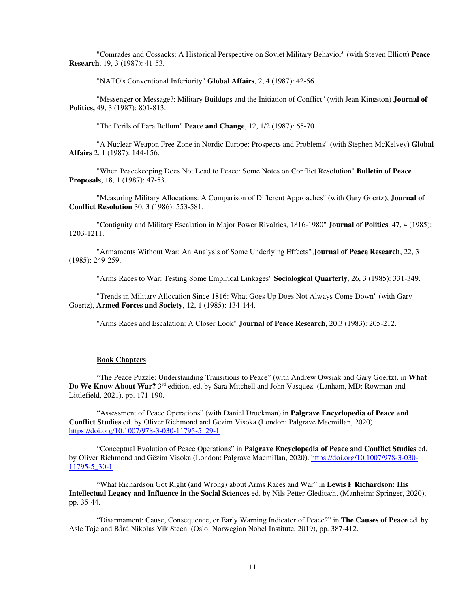"Comrades and Cossacks: A Historical Perspective on Soviet Military Behavior" (with Steven Elliott**) Peace Research**, 19, 3 (1987): 41-53.

"NATO's Conventional Inferiority" **Global Affairs**, 2, 4 (1987): 42-56.

 "Messenger or Message?: Military Buildups and the Initiation of Conflict" (with Jean Kingston) **Journal of Politics,** 49, 3 (1987): 801-813.

"The Perils of Para Bellum" **Peace and Change**, 12, 1/2 (1987): 65-70.

 "A Nuclear Weapon Free Zone in Nordic Europe: Prospects and Problems" (with Stephen McKelvey**) Global Affairs** 2, 1 (1987): 144-156.

 "When Peacekeeping Does Not Lead to Peace: Some Notes on Conflict Resolution" **Bulletin of Peace Proposals**, 18, 1 (1987): 47-53.

 "Measuring Military Allocations: A Comparison of Different Approaches" (with Gary Goertz), **Journal of Conflict Resolution** 30, 3 (1986): 553-581.

 "Contiguity and Military Escalation in Major Power Rivalries, 1816-1980" **Journal of Politics**, 47, 4 (1985): 1203-1211.

 "Armaments Without War: An Analysis of Some Underlying Effects" **Journal of Peace Research**, 22, 3 (1985): 249-259.

"Arms Races to War: Testing Some Empirical Linkages" **Sociological Quarterly**, 26, 3 (1985): 331-349.

 "Trends in Military Allocation Since 1816: What Goes Up Does Not Always Come Down" (with Gary Goertz), **Armed Forces and Society**, 12, 1 (1985): 134-144.

"Arms Races and Escalation: A Closer Look" **Journal of Peace Research**, 20,3 (1983): 205-212.

# **Book Chapters**

 "The Peace Puzzle: Understanding Transitions to Peace" (with Andrew Owsiak and Gary Goertz). in **What Do We Know About War?** 3 rd edition, ed. by Sara Mitchell and John Vasquez. (Lanham, MD: Rowman and Littlefield, 2021), pp. 171-190.

 "Assessment of Peace Operations" (with Daniel Druckman) in **Palgrave Encyclopedia of Peace and Conflict Studies** ed. by Oliver Richmond and Gëzim Visoka (London: Palgrave Macmillan, 2020). https://doi.org/10.1007/978-3-030-11795-5\_29-1

 "Conceptual Evolution of Peace Operations" in **Palgrave Encyclopedia of Peace and Conflict Studies** ed. by Oliver Richmond and Gëzim Visoka (London: Palgrave Macmillan, 2020). https://doi.org/10.1007/978-3-030- 11795-5\_30-1

"What Richardson Got Right (and Wrong) about Arms Races and War" in **Lewis F Richardson: His Intellectual Legacy and Influence in the Social Sciences** ed. by Nils Petter Gleditsch. (Manheim: Springer, 2020), pp. 35-44.

 "Disarmament: Cause, Consequence, or Early Warning Indicator of Peace?" in **The Causes of Peace** ed. by Asle Toje and Bård Nikolas Vik Steen. (Oslo: Norwegian Nobel Institute, 2019), pp. 387-412.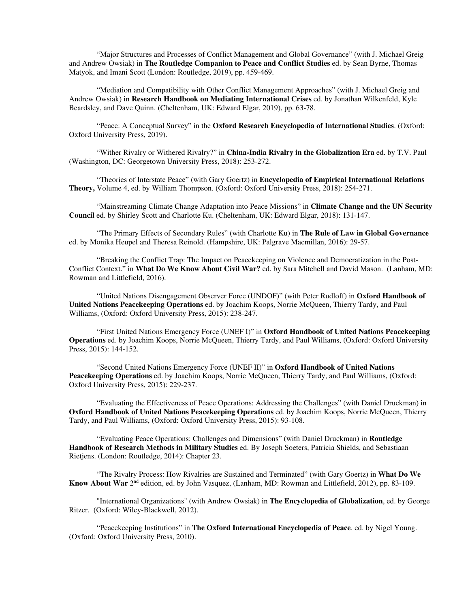"Major Structures and Processes of Conflict Management and Global Governance" (with J. Michael Greig and Andrew Owsiak) in **The Routledge Companion to Peace and Conflict Studies** ed. by Sean Byrne, Thomas Matyok, and Imani Scott (London: Routledge, 2019), pp. 459-469.

 "Mediation and Compatibility with Other Conflict Management Approaches" (with J. Michael Greig and Andrew Owsiak) in **Research Handbook on Mediating International Crises** ed. by Jonathan Wilkenfeld, Kyle Beardsley, and Dave Quinn. (Cheltenham, UK: Edward Elgar, 2019), pp. 63-78.

 "Peace: A Conceptual Survey" in the **Oxford Research Encyclopedia of International Studies**. (Oxford: Oxford University Press, 2019).

 "Wither Rivalry or Withered Rivalry?" in **China-India Rivalry in the Globalization Era** ed. by T.V. Paul (Washington, DC: Georgetown University Press, 2018): 253-272.

 "Theories of Interstate Peace" (with Gary Goertz) in **Encyclopedia of Empirical International Relations Theory,** Volume 4, ed. by William Thompson. (Oxford: Oxford University Press, 2018): 254-271.

 "Mainstreaming Climate Change Adaptation into Peace Missions" in **Climate Change and the UN Security Council** ed. by Shirley Scott and Charlotte Ku. (Cheltenham, UK: Edward Elgar, 2018): 131-147.

 "The Primary Effects of Secondary Rules" (with Charlotte Ku) in **The Rule of Law in Global Governance** ed. by Monika Heupel and Theresa Reinold. (Hampshire, UK: Palgrave Macmillan, 2016): 29-57.

 "Breaking the Conflict Trap: The Impact on Peacekeeping on Violence and Democratization in the Post-Conflict Context." in **What Do We Know About Civil War?** ed. by Sara Mitchell and David Mason. (Lanham, MD: Rowman and Littlefield, 2016).

 "United Nations Disengagement Observer Force (UNDOF)" (with Peter Rudloff) in **Oxford Handbook of United Nations Peacekeeping Operations** ed. by Joachim Koops, Norrie McQueen, Thierry Tardy, and Paul Williams, (Oxford: Oxford University Press, 2015): 238-247.

 "First United Nations Emergency Force (UNEF I)" in **Oxford Handbook of United Nations Peacekeeping Operations** ed. by Joachim Koops, Norrie McQueen, Thierry Tardy, and Paul Williams, (Oxford: Oxford University Press, 2015): 144-152.

 "Second United Nations Emergency Force (UNEF II)" in **Oxford Handbook of United Nations Peacekeeping Operations** ed. by Joachim Koops, Norrie McQueen, Thierry Tardy, and Paul Williams, (Oxford: Oxford University Press, 2015): 229-237.

 "Evaluating the Effectiveness of Peace Operations: Addressing the Challenges" (with Daniel Druckman) in **Oxford Handbook of United Nations Peacekeeping Operations** ed. by Joachim Koops, Norrie McQueen, Thierry Tardy, and Paul Williams, (Oxford: Oxford University Press, 2015): 93-108.

 "Evaluating Peace Operations: Challenges and Dimensions" (with Daniel Druckman) in **Routledge Handbook of Research Methods in Military Studies** ed. By Joseph Soeters, Patricia Shields, and Sebastiaan Rietjens. (London: Routledge, 2014): Chapter 23.

 "The Rivalry Process: How Rivalries are Sustained and Terminated" (with Gary Goertz) in **What Do We Know About War** 2nd edition, ed. by John Vasquez, (Lanham, MD: Rowman and Littlefield, 2012), pp. 83-109.

 "International Organizations" (with Andrew Owsiak) in **The Encyclopedia of Globalization**, ed. by George Ritzer. (Oxford: Wiley-Blackwell, 2012).

 "Peacekeeping Institutions" in **The Oxford International Encyclopedia of Peace**. ed. by Nigel Young. (Oxford: Oxford University Press, 2010).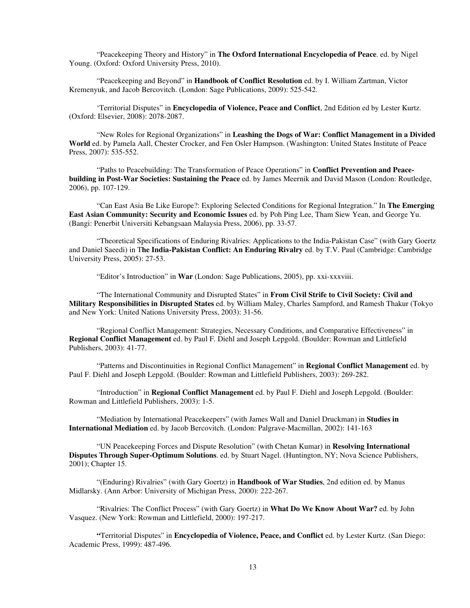"Peacekeeping Theory and History" in **The Oxford International Encyclopedia of Peace**. ed. by Nigel Young. (Oxford: Oxford University Press, 2010).

 "Peacekeeping and Beyond" in **Handbook of Conflict Resolution** ed. by I. William Zartman, Victor Kremenyuk, and Jacob Bercovitch. (London: Sage Publications, 2009): 525-542.

 'Territorial Disputes" in **Encyclopedia of Violence, Peace and Conflict**, 2nd Edition ed by Lester Kurtz. (Oxford: Elsevier, 2008): 2078-2087.

 "New Roles for Regional Organizations" in **Leashing the Dogs of War: Conflict Management in a Divided World** ed. by Pamela Aall, Chester Crocker, and Fen Osler Hampson. (Washington: United States Institute of Peace Press, 2007): 535-552.

 "Paths to Peacebuilding: The Transformation of Peace Operations" in **Conflict Prevention and Peacebuilding in Post-War Societies: Sustaining the Peace** ed. by James Meernik and David Mason (London: Routledge, 2006), pp. 107-129.

 "Can East Asia Be Like Europe?: Exploring Selected Conditions for Regional Integration." In **The Emerging East Asian Community: Security and Economic Issues** ed. by Poh Ping Lee, Tham Siew Yean, and George Yu. (Bangi: Penerbit Universiti Kebangsaan Malaysia Press, 2006), pp. 33-57.

 "Theoretical Specifications of Enduring Rivalries: Applications to the India-Pakistan Case" (with Gary Goertz and Daniel Saeedi) in T**he India-Pakistan Conflict: An Enduring Rivalry** ed. by T.V. Paul (Cambridge: Cambridge University Press, 2005): 27-53.

"Editor's Introduction" in **War** (London: Sage Publications, 2005), pp. xxi-xxxviii.

 "The International Community and Disrupted States" in **From Civil Strife to Civil Society: Civil and Military Responsibilities in Disrupted States** ed. by William Maley, Charles Sampford, and Ramesh Thakur (Tokyo and New York: United Nations University Press, 2003): 31-56.

 "Regional Conflict Management: Strategies, Necessary Conditions, and Comparative Effectiveness" in **Regional Conflict Management** ed. by Paul F. Diehl and Joseph Lepgold. (Boulder: Rowman and Littlefield Publishers, 2003): 41-77.

 "Patterns and Discontinuities in Regional Conflict Management" in **Regional Conflict Management** ed. by Paul F. Diehl and Joseph Lepgold. (Boulder: Rowman and Littlefield Publishers, 2003): 269-282.

 "Introduction" in **Regional Conflict Management** ed. by Paul F. Diehl and Joseph Lepgold. (Boulder: Rowman and Littlefield Publishers, 2003): 1-5.

 "Mediation by International Peacekeepers" (with James Wall and Daniel Druckman) in **Studies in International Mediation** ed. by Jacob Bercovitch. (London: Palgrave-Macmillan, 2002): 141-163

 "UN Peacekeeping Forces and Dispute Resolution" (with Chetan Kumar) in **Resolving International Disputes Through Super-Optimum Solutions**. ed. by Stuart Nagel. (Huntington, NY; Nova Science Publishers, 2001); Chapter 15.

"(Enduring) Rivalries" (with Gary Goertz) in **Handbook of War Studies**, 2nd edition ed. by Manus Midlarsky. (Ann Arbor: University of Michigan Press, 2000): 222-267.

 "Rivalries: The Conflict Process" (with Gary Goertz) in **What Do We Know About War?** ed. by John Vasquez. (New York: Rowman and Littlefield, 2000): 197-217.

 **"**Territorial Disputes" in **Encyclopedia of Violence, Peace, and Conflict** ed. by Lester Kurtz. (San Diego: Academic Press, 1999): 487-496.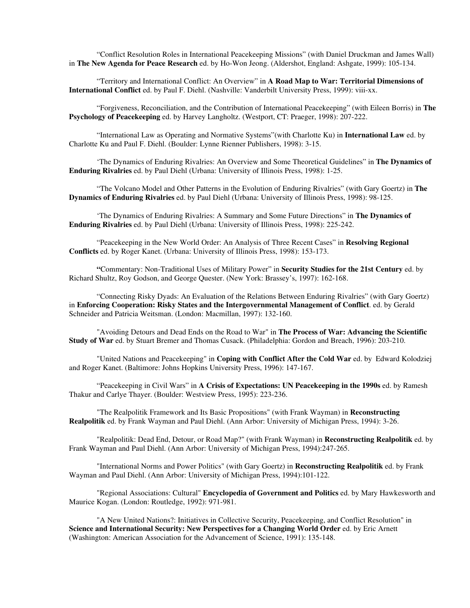"Conflict Resolution Roles in International Peacekeeping Missions" (with Daniel Druckman and James Wall) in **The New Agenda for Peace Research** ed. by Ho-Won Jeong. (Aldershot, England: Ashgate, 1999): 105-134.

 "Territory and International Conflict: An Overview" in **A Road Map to War: Territorial Dimensions of International Conflict** ed. by Paul F. Diehl. (Nashville: Vanderbilt University Press, 1999): viii-xx.

 "Forgiveness, Reconciliation, and the Contribution of International Peacekeeping" (with Eileen Borris) in **The Psychology of Peacekeeping** ed. by Harvey Langholtz. (Westport, CT: Praeger, 1998): 207-222.

 "International Law as Operating and Normative Systems"(with Charlotte Ku) in **International Law** ed. by Charlotte Ku and Paul F. Diehl. (Boulder: Lynne Rienner Publishers, 1998): 3-15.

'The Dynamics of Enduring Rivalries: An Overview and Some Theoretical Guidelines" in **The Dynamics of Enduring Rivalries** ed. by Paul Diehl (Urbana: University of Illinois Press, 1998): 1-25.

 "The Volcano Model and Other Patterns in the Evolution of Enduring Rivalries" (with Gary Goertz) in **The Dynamics of Enduring Rivalries** ed. by Paul Diehl (Urbana: University of Illinois Press, 1998): 98-125.

 'The Dynamics of Enduring Rivalries: A Summary and Some Future Directions" in **The Dynamics of Enduring Rivalries** ed. by Paul Diehl (Urbana: University of Illinois Press, 1998): 225-242.

 "Peacekeeping in the New World Order: An Analysis of Three Recent Cases" in **Resolving Regional Conflicts** ed. by Roger Kanet. (Urbana: University of Illinois Press, 1998): 153-173.

 **"**Commentary: Non-Traditional Uses of Military Power" in **Security Studies for the 21st Century** ed. by Richard Shultz, Roy Godson, and George Quester. (New York: Brassey's, 1997): 162-168.

"Connecting Risky Dyads: An Evaluation of the Relations Between Enduring Rivalries" (with Gary Goertz) in **Enforcing Cooperation: Risky States and the Intergovernmental Management of Conflict**. ed. by Gerald Schneider and Patricia Weitsman. (London: Macmillan, 1997): 132-160.

 "Avoiding Detours and Dead Ends on the Road to War" in **The Process of War: Advancing the Scientific Study of War** ed. by Stuart Bremer and Thomas Cusack. (Philadelphia: Gordon and Breach, 1996): 203-210.

 "United Nations and Peacekeeping" in **Coping with Conflict After the Cold War** ed. by Edward Kolodziej and Roger Kanet. (Baltimore: Johns Hopkins University Press, 1996): 147-167.

 "Peacekeeping in Civil Wars" in **A Crisis of Expectations: UN Peacekeeping in the 1990s** ed. by Ramesh Thakur and Carlye Thayer. (Boulder: Westview Press, 1995): 223-236.

 "The Realpolitik Framework and Its Basic Propositions" (with Frank Wayman) in **Reconstructing Realpolitik** ed. by Frank Wayman and Paul Diehl. (Ann Arbor: University of Michigan Press, 1994): 3-26.

 "Realpolitik: Dead End, Detour, or Road Map?" (with Frank Wayman) in **Reconstructing Realpolitik** ed. by Frank Wayman and Paul Diehl. (Ann Arbor: University of Michigan Press, 1994):247-265.

 "International Norms and Power Politics" (with Gary Goertz) in **Reconstructing Realpolitik** ed. by Frank Wayman and Paul Diehl. (Ann Arbor: University of Michigan Press, 1994):101-122.

 "Regional Associations: Cultural" **Encyclopedia of Government and Politics** ed. by Mary Hawkesworth and Maurice Kogan. (London: Routledge, 1992): 971-981.

 "A New United Nations?: Initiatives in Collective Security, Peacekeeping, and Conflict Resolution" in **Science and International Security: New Perspectives for a Changing World Order** ed. by Eric Arnett (Washington: American Association for the Advancement of Science, 1991): 135-148.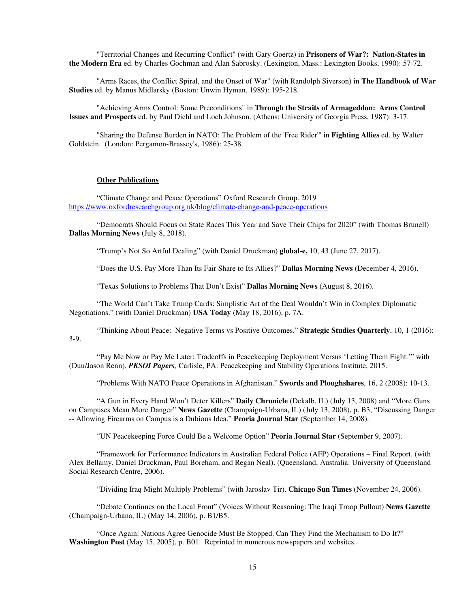"Territorial Changes and Recurring Conflict" (with Gary Goertz) in **Prisoners of War?: Nation-States in the Modern Era** ed. by Charles Gochman and Alan Sabrosky. (Lexington, Mass.: Lexington Books, 1990): 57-72.

 "Arms Races, the Conflict Spiral, and the Onset of War" (with Randolph Siverson) in **The Handbook of War Studies** ed. by Manus Midlarsky (Boston: Unwin Hyman, 1989): 195-218.

 "Achieving Arms Control: Some Preconditions" in **Through the Straits of Armageddon: Arms Control Issues and Prospects** ed. by Paul Diehl and Loch Johnson. (Athens: University of Georgia Press, 1987): 3-17.

 "Sharing the Defense Burden in NATO: The Problem of the 'Free Rider'" in **Fighting Allies** ed. by Walter Goldstein. (London: Pergamon-Brassey's, 1986): 25-38.

#### **Other Publications**

 "Climate Change and Peace Operations" Oxford Research Group. 2019 https://www.oxfordresearchgroup.org.uk/blog/climate-change-and-peace-operations

 "Democrats Should Focus on State Races This Year and Save Their Chips for 2020" (with Thomas Brunell) **Dallas Morning News** (July 8, 2018).

"Trump's Not So Artful Dealing" (with Daniel Druckman) **global-e,** 10, 43 (June 27, 2017).

"Does the U.S. Pay More Than Its Fair Share to Its Allies?" **Dallas Morning News** (December 4, 2016).

"Texas Solutions to Problems That Don't Exist" **Dallas Morning News** (August 8, 2016).

 "The World Can't Take Trump Cards: Simplistic Art of the Deal Wouldn't Win in Complex Diplomatic Negotiations." (with Daniel Druckman) **USA Today** (May 18, 2016), p. 7A.

 "Thinking About Peace: Negative Terms vs Positive Outcomes." **Strategic Studies Quarterly**, 10, 1 (2016): 3-9.

 "Pay Me Now or Pay Me Later: Tradeoffs in Peacekeeping Deployment Versus 'Letting Them Fight.'" with (Duu/Jason Renn). *PKSOI Papers,* Carlisle, PA: Peacekeeping and Stability Operations Institute, 2015.

"Problems With NATO Peace Operations in Afghanistan." **Swords and Ploughshares**, 16, 2 (2008): 10-13.

 "A Gun in Every Hand Won't Deter Killers" **Daily Chronicle** (Dekalb, IL) (July 13, 2008) and "More Guns on Campuses Mean More Danger" **News Gazette** (Champaign-Urbana, IL) (July 13, 2008), p. B3, "Discussing Danger -- Allowing Firearms on Campus is a Dubious Idea." **Peoria Journal Star** (September 14, 2008).

"UN Peacekeeping Force Could Be a Welcome Option" **Peoria Journal Star** (September 9, 2007).

 "Framework for Performance Indicators in Australian Federal Police (AFP) Operations – Final Report. (with Alex Bellamy, Daniel Druckman, Paul Boreham, and Regan Neal). (Queensland, Australia: University of Queensland Social Research Centre, 2006).

"Dividing Iraq Might Multiply Problems" (with Jaroslav Tir). **Chicago Sun Times** (November 24, 2006).

 "Debate Continues on the Local Front" (Voices Without Reasoning: The Iraqi Troop Pullout) **News Gazette** (Champaign-Urbana, IL) (May 14, 2006), p. B1/B5.

"Once Again: Nations Agree Genocide Must Be Stopped. Can They Find the Mechanism to Do It?" **Washington Post** (May 15, 2005), p. B01. Reprinted in numerous newspapers and websites.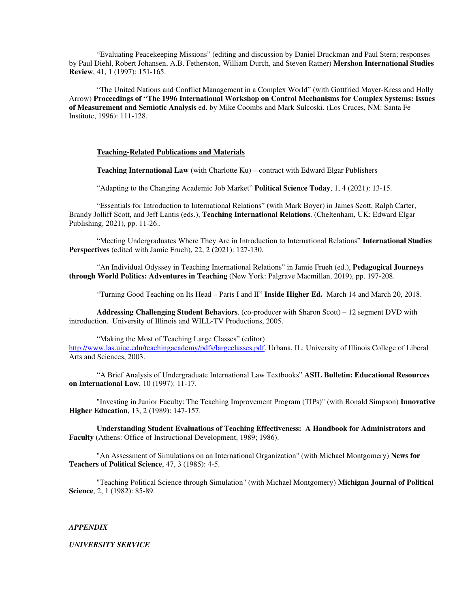"Evaluating Peacekeeping Missions" (editing and discussion by Daniel Druckman and Paul Stern; responses by Paul Diehl, Robert Johansen, A.B. Fetherston, William Durch, and Steven Ratner) **Mershon International Studies Review**, 41, 1 (1997): 151-165.

 "The United Nations and Conflict Management in a Complex World" (with Gottfried Mayer-Kress and Holly Arrow) **Proceedings of "The 1996 International Workshop on Control Mechanisms for Complex Systems: Issues of Measurement and Semiotic Analysis** ed. by Mike Coombs and Mark Sulcoski. (Los Cruces, NM: Santa Fe Institute, 1996): 111-128.

# **Teaching-Related Publications and Materials**

**Teaching International Law** (with Charlotte Ku) – contract with Edward Elgar Publishers

"Adapting to the Changing Academic Job Market" **Political Science Today**, 1, 4 (2021): 13-15.

 "Essentials for Introduction to International Relations" (with Mark Boyer) in James Scott, Ralph Carter, Brandy Jolliff Scott, and Jeff Lantis (eds.), **Teaching International Relations**. (Cheltenham, UK: Edward Elgar Publishing, 2021), pp. 11-26..

 "Meeting Undergraduates Where They Are in Introduction to International Relations" **International Studies Perspectives** (edited with Jamie Frueh), 22, 2 (2021): 127-130.

 "An Individual Odyssey in Teaching International Relations" in Jamie Frueh (ed.), **Pedagogical Journeys through World Politics: Adventures in Teaching** (New York: Palgrave Macmillan, 2019), pp. 197-208.

"Turning Good Teaching on Its Head – Parts I and II" **Inside Higher Ed.** March 14 and March 20, 2018.

**Addressing Challenging Student Behaviors**. (co-producer with Sharon Scott) – 12 segment DVD with introduction. University of Illinois and WILL-TV Productions, 2005.

 "Making the Most of Teaching Large Classes" (editor) http://www.las.uiuc.edu/teachingacademy/pdfs/largeclasses.pdf. Urbana, IL: University of Illinois College of Liberal Arts and Sciences, 2003.

 "A Brief Analysis of Undergraduate International Law Textbooks" **ASIL Bulletin: Educational Resources on International Law**, 10 (1997): 11-17.

 "Investing in Junior Faculty: The Teaching Improvement Program (TIPs)" (with Ronald Simpson) **Innovative Higher Education**, 13, 2 (1989): 147-157.

**Understanding Student Evaluations of Teaching Effectiveness: A Handbook for Administrators and Faculty** (Athens: Office of Instructional Development, 1989; 1986).

 "An Assessment of Simulations on an International Organization" (with Michael Montgomery) **News for Teachers of Political Science**, 47, 3 (1985): 4-5.

 "Teaching Political Science through Simulation" (with Michael Montgomery) **Michigan Journal of Political Science**, 2, 1 (1982): 85-89.

#### *APPENDIX*

#### *UNIVERSITY SERVICE*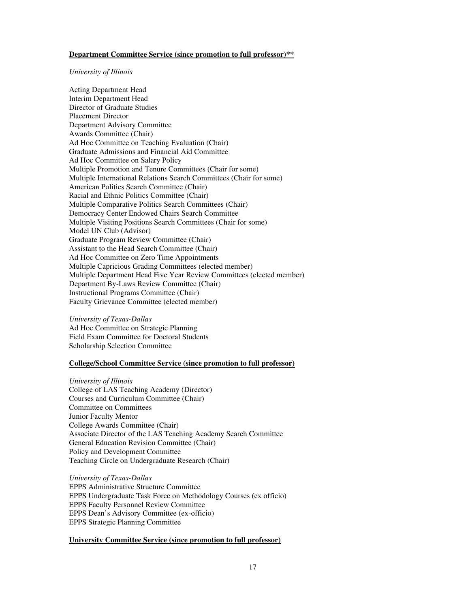# **Department Committee Service (since promotion to full professor)\*\***

## *University of Illinois*

Acting Department Head Interim Department Head Director of Graduate Studies Placement Director Department Advisory Committee Awards Committee (Chair) Ad Hoc Committee on Teaching Evaluation (Chair) Graduate Admissions and Financial Aid Committee Ad Hoc Committee on Salary Policy Multiple Promotion and Tenure Committees (Chair for some) Multiple International Relations Search Committees (Chair for some) American Politics Search Committee (Chair) Racial and Ethnic Politics Committee (Chair) Multiple Comparative Politics Search Committees (Chair) Democracy Center Endowed Chairs Search Committee Multiple Visiting Positions Search Committees (Chair for some) Model UN Club (Advisor) Graduate Program Review Committee (Chair) Assistant to the Head Search Committee (Chair) Ad Hoc Committee on Zero Time Appointments Multiple Capricious Grading Committees (elected member) Multiple Department Head Five Year Review Committees (elected member) Department By-Laws Review Committee (Chair) Instructional Programs Committee (Chair) Faculty Grievance Committee (elected member)

*University of Texas-Dallas* Ad Hoc Committee on Strategic Planning Field Exam Committee for Doctoral Students Scholarship Selection Committee

# **College/School Committee Service (since promotion to full professor)**

*University of Illinois*  College of LAS Teaching Academy (Director) Courses and Curriculum Committee (Chair) Committee on Committees Junior Faculty Mentor College Awards Committee (Chair) Associate Director of the LAS Teaching Academy Search Committee General Education Revision Committee (Chair) Policy and Development Committee Teaching Circle on Undergraduate Research (Chair)

*University of Texas-Dallas* EPPS Administrative Structure Committee EPPS Undergraduate Task Force on Methodology Courses (ex officio) EPPS Faculty Personnel Review Committee EPPS Dean's Advisory Committee (ex-officio) EPPS Strategic Planning Committee

# **University Committee Service (since promotion to full professor)**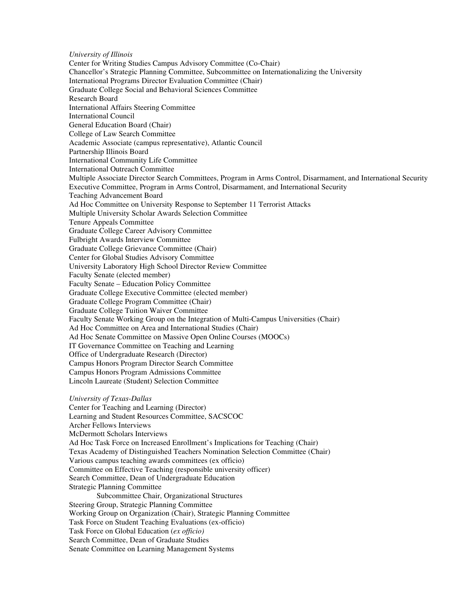*University of Illinois*  Center for Writing Studies Campus Advisory Committee (Co-Chair) Chancellor's Strategic Planning Committee, Subcommittee on Internationalizing the University International Programs Director Evaluation Committee (Chair) Graduate College Social and Behavioral Sciences Committee Research Board International Affairs Steering Committee International Council General Education Board (Chair) College of Law Search Committee Academic Associate (campus representative), Atlantic Council Partnership Illinois Board International Community Life Committee International Outreach Committee Multiple Associate Director Search Committees, Program in Arms Control, Disarmament, and International Security Executive Committee, Program in Arms Control, Disarmament, and International Security Teaching Advancement Board Ad Hoc Committee on University Response to September 11 Terrorist Attacks Multiple University Scholar Awards Selection Committee Tenure Appeals Committee Graduate College Career Advisory Committee Fulbright Awards Interview Committee Graduate College Grievance Committee (Chair) Center for Global Studies Advisory Committee University Laboratory High School Director Review Committee Faculty Senate (elected member) Faculty Senate – Education Policy Committee Graduate College Executive Committee (elected member) Graduate College Program Committee (Chair) Graduate College Tuition Waiver Committee Faculty Senate Working Group on the Integration of Multi-Campus Universities (Chair) Ad Hoc Committee on Area and International Studies (Chair) Ad Hoc Senate Committee on Massive Open Online Courses (MOOCs) IT Governance Committee on Teaching and Learning Office of Undergraduate Research (Director) Campus Honors Program Director Search Committee Campus Honors Program Admissions Committee Lincoln Laureate (Student) Selection Committee *University of Texas-Dallas* Center for Teaching and Learning (Director) Learning and Student Resources Committee, SACSCOC Archer Fellows Interviews McDermott Scholars Interviews Ad Hoc Task Force on Increased Enrollment's Implications for Teaching (Chair) Texas Academy of Distinguished Teachers Nomination Selection Committee (Chair)

Various campus teaching awards committees (ex officio)

Committee on Effective Teaching (responsible university officer)

Search Committee, Dean of Undergraduate Education

Strategic Planning Committee

 Subcommittee Chair, Organizational Structures Steering Group, Strategic Planning Committee Working Group on Organization (Chair), Strategic Planning Committee Task Force on Student Teaching Evaluations (ex-officio) Task Force on Global Education (*ex officio)*  Search Committee, Dean of Graduate Studies Senate Committee on Learning Management Systems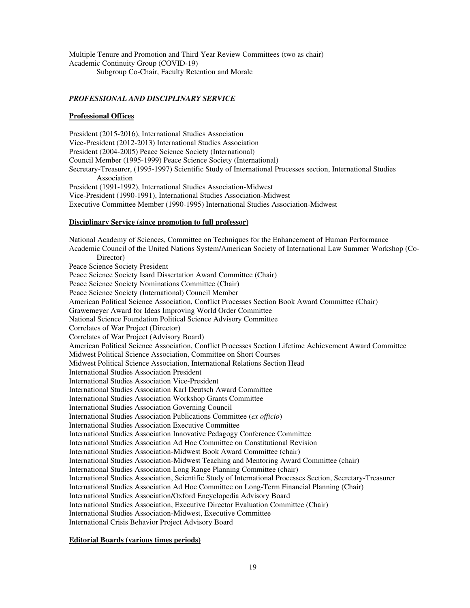Multiple Tenure and Promotion and Third Year Review Committees (two as chair) Academic Continuity Group (COVID-19) Subgroup Co-Chair, Faculty Retention and Morale

# *PROFESSIONAL AND DISCIPLINARY SERVICE*

## **Professional Offices**

President (2015-2016), International Studies Association Vice-President (2012-2013) International Studies Association President (2004-2005) Peace Science Society (International) Council Member (1995-1999) Peace Science Society (International) Secretary-Treasurer, (1995-1997) Scientific Study of International Processes section, International Studies Association President (1991-1992), International Studies Association-Midwest Vice-President (1990-1991), International Studies Association-Midwest Executive Committee Member (1990-1995) International Studies Association-Midwest

## **Disciplinary Service (since promotion to full professor)**

National Academy of Sciences, Committee on Techniques for the Enhancement of Human Performance Academic Council of the United Nations System/American Society of International Law Summer Workshop (Co- Director) Peace Science Society President Peace Science Society Isard Dissertation Award Committee (Chair) Peace Science Society Nominations Committee (Chair) Peace Science Society (International) Council Member American Political Science Association, Conflict Processes Section Book Award Committee (Chair) Grawemeyer Award for Ideas Improving World Order Committee National Science Foundation Political Science Advisory Committee Correlates of War Project (Director) Correlates of War Project (Advisory Board) American Political Science Association, Conflict Processes Section Lifetime Achievement Award Committee Midwest Political Science Association, Committee on Short Courses Midwest Political Science Association, International Relations Section Head International Studies Association President International Studies Association Vice-President International Studies Association Karl Deutsch Award Committee International Studies Association Workshop Grants Committee International Studies Association Governing Council International Studies Association Publications Committee (*ex officio*) International Studies Association Executive Committee International Studies Association Innovative Pedagogy Conference Committee International Studies Association Ad Hoc Committee on Constitutional Revision International Studies Association-Midwest Book Award Committee (chair) International Studies Association-Midwest Teaching and Mentoring Award Committee (chair) International Studies Association Long Range Planning Committee (chair) International Studies Association, Scientific Study of International Processes Section, Secretary-Treasurer International Studies Association Ad Hoc Committee on Long-Term Financial Planning (Chair) International Studies Association/Oxford Encyclopedia Advisory Board International Studies Association, Executive Director Evaluation Committee (Chair) International Studies Association-Midwest, Executive Committee International Crisis Behavior Project Advisory Board

# **Editorial Boards (various times periods)**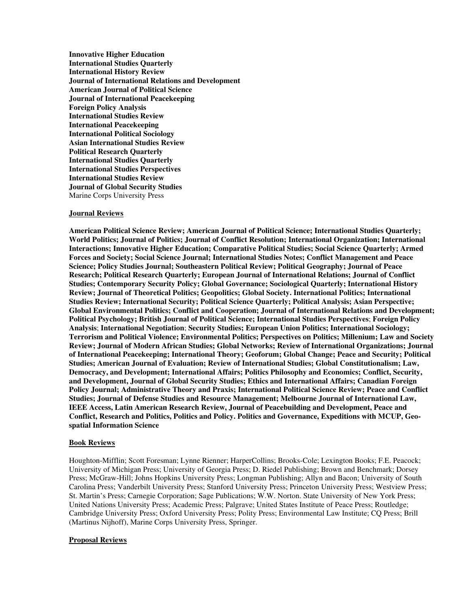**Innovative Higher Education International Studies Quarterly International History Review Journal of International Relations and Development American Journal of Political Science Journal of International Peacekeeping Foreign Policy Analysis International Studies Review International Peacekeeping International Political Sociology Asian International Studies Review Political Research Quarterly International Studies Quarterly International Studies Perspectives International Studies Review Journal of Global Security Studies**  Marine Corps University Press

# **Journal Reviews**

**American Political Science Review; American Journal of Political Science; International Studies Quarterly; World Politics; Journal of Politics; Journal of Conflict Resolution; International Organization; International Interactions; Innovative Higher Education; Comparative Political Studies; Social Science Quarterly; Armed Forces and Society; Social Science Journal; International Studies Notes; Conflict Management and Peace Science; Policy Studies Journal; Southeastern Political Review; Political Geography; Journal of Peace Research; Political Research Quarterly; European Journal of International Relations; Journal of Conflict Studies; Contemporary Security Policy; Global Governance; Sociological Quarterly; International History Review; Journal of Theoretical Politics; Geopolitics; Global Society. International Politics; International Studies Review; International Security; Political Science Quarterly; Political Analysis; Asian Perspective; Global Environmental Politics; Conflict and Cooperation; Journal of International Relations and Development; Political Psychology; British Journal of Political Science; International Studies Perspectives**; **Foreign Policy Analysis**; **International Negotiation**; **Security Studies; European Union Politics; International Sociology; Terrorism and Political Violence; Environmental Politics; Perspectives on Politics; Millenium; Law and Society Review; Journal of Modern African Studies; Global Networks; Review of International Organizations; Journal of International Peacekeeping; International Theory; Geoforum; Global Change; Peace and Security; Political Studies; American Journal of Evaluation; Review of International Studies; Global Constitutionalism; Law, Democracy, and Development; International Affairs; Politics Philosophy and Economics; Conflict, Security, and Development, Journal of Global Security Studies; Ethics and International Affairs; Canadian Foreign Policy Journal; Administrative Theory and Praxis; International Political Science Review; Peace and Conflict Studies; Journal of Defense Studies and Resource Management; Melbourne Journal of International Law, IEEE Access, Latin American Research Review, Journal of Peacebuilding and Development, Peace and Conflict, Research and Politics, Politics and Policy. Politics and Governance, Expeditions with MCUP, Geospatial Information Science** 

#### **Book Reviews**

Houghton-Mifflin; Scott Foresman; Lynne Rienner; HarperCollins; Brooks-Cole; Lexington Books; F.E. Peacock; University of Michigan Press; University of Georgia Press; D. Riedel Publishing; Brown and Benchmark; Dorsey Press; McGraw-Hill; Johns Hopkins University Press; Longman Publishing; Allyn and Bacon; University of South Carolina Press; Vanderbilt University Press; Stanford University Press; Princeton University Press; Westview Press; St. Martin's Press; Carnegie Corporation; Sage Publications; W.W. Norton. State University of New York Press; United Nations University Press; Academic Press; Palgrave; United States Institute of Peace Press; Routledge; Cambridge University Press; Oxford University Press; Polity Press; Environmental Law Institute; CQ Press; Brill (Martinus Nijhoff), Marine Corps University Press, Springer.

#### **Proposal Reviews**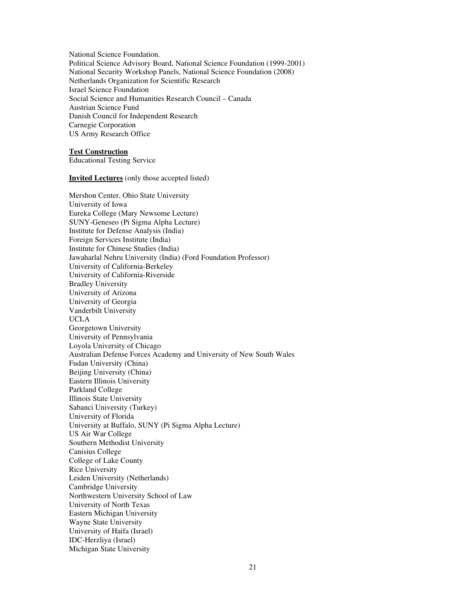National Science Foundation. Political Science Advisory Board, National Science Foundation (1999-2001) National Security Workshop Panels, National Science Foundation (2008) Netherlands Organization for Scientific Research Israel Science Foundation Social Science and Humanities Research Council – Canada Austrian Science Fund Danish Council for Independent Research Carnegie Corporation US Army Research Office

#### **Test Construction**

Educational Testing Service

#### **Invited Lectures** (only those accepted listed)

Mershon Center, Ohio State University University of Iowa Eureka College (Mary Newsome Lecture) SUNY-Geneseo (Pi Sigma Alpha Lecture) Institute for Defense Analysis (India) Foreign Services Institute (India) Institute for Chinese Studies (India) Jawaharlal Nehru University (India) (Ford Foundation Professor) University of California-Berkeley University of California-Riverside Bradley University University of Arizona University of Georgia Vanderbilt University UCLA Georgetown University University of Pennsylvania Loyola University of Chicago Australian Defense Forces Academy and University of New South Wales Fudan University (China) Beijing University (China) Eastern Illinois University Parkland College Illinois State University Sabanci University (Turkey) University of Florida University at Buffalo, SUNY (Pi Sigma Alpha Lecture) US Air War College Southern Methodist University Canisius College College of Lake County Rice University Leiden University (Netherlands) Cambridge University Northwestern University School of Law University of North Texas Eastern Michigan University Wayne State University University of Haifa (Israel) IDC-Herzliya (Israel) Michigan State University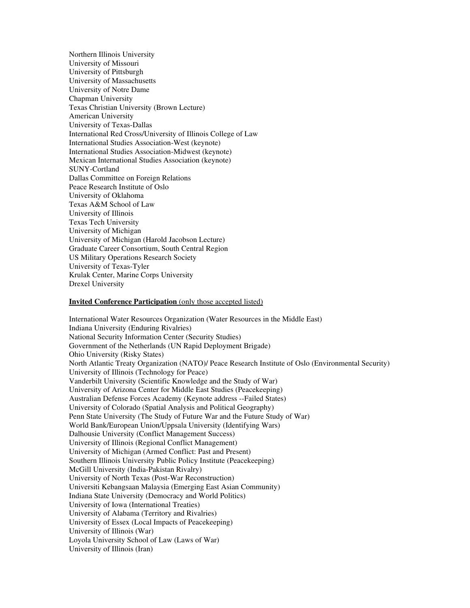Northern Illinois University University of Missouri University of Pittsburgh University of Massachusetts University of Notre Dame Chapman University Texas Christian University (Brown Lecture) American University University of Texas-Dallas International Red Cross/University of Illinois College of Law International Studies Association-West (keynote) International Studies Association-Midwest (keynote) Mexican International Studies Association (keynote) SUNY-Cortland Dallas Committee on Foreign Relations Peace Research Institute of Oslo University of Oklahoma Texas A&M School of Law University of Illinois Texas Tech University University of Michigan University of Michigan (Harold Jacobson Lecture) Graduate Career Consortium, South Central Region US Military Operations Research Society University of Texas-Tyler Krulak Center, Marine Corps University Drexel University

#### **Invited Conference Participation** (only those accepted listed)

International Water Resources Organization (Water Resources in the Middle East) Indiana University (Enduring Rivalries) National Security Information Center (Security Studies) Government of the Netherlands (UN Rapid Deployment Brigade) Ohio University (Risky States) North Atlantic Treaty Organization (NATO)/ Peace Research Institute of Oslo (Environmental Security) University of Illinois (Technology for Peace) Vanderbilt University (Scientific Knowledge and the Study of War) University of Arizona Center for Middle East Studies (Peacekeeping) Australian Defense Forces Academy (Keynote address --Failed States) University of Colorado (Spatial Analysis and Political Geography) Penn State University (The Study of Future War and the Future Study of War) World Bank/European Union/Uppsala University (Identifying Wars) Dalhousie University (Conflict Management Success) University of Illinois (Regional Conflict Management) University of Michigan (Armed Conflict: Past and Present) Southern Illinois University Public Policy Institute (Peacekeeping) McGill University (India-Pakistan Rivalry) University of North Texas (Post-War Reconstruction) Universiti Kebangsaan Malaysia (Emerging East Asian Community) Indiana State University (Democracy and World Politics) University of Iowa (International Treaties) University of Alabama (Territory and Rivalries) University of Essex (Local Impacts of Peacekeeping) University of Illinois (War) Loyola University School of Law (Laws of War) University of Illinois (Iran)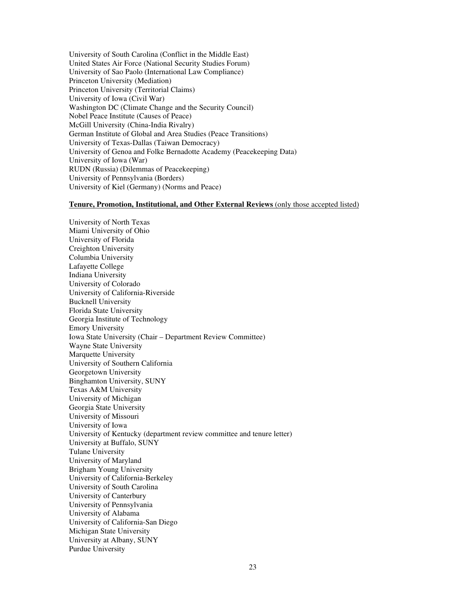University of South Carolina (Conflict in the Middle East) United States Air Force (National Security Studies Forum) University of Sao Paolo (International Law Compliance) Princeton University (Mediation) Princeton University (Territorial Claims) University of Iowa (Civil War) Washington DC (Climate Change and the Security Council) Nobel Peace Institute (Causes of Peace) McGill University (China-India Rivalry) German Institute of Global and Area Studies (Peace Transitions) University of Texas-Dallas (Taiwan Democracy) University of Genoa and Folke Bernadotte Academy (Peacekeeping Data) University of Iowa (War) RUDN (Russia) (Dilemmas of Peacekeeping) University of Pennsylvania (Borders) University of Kiel (Germany) (Norms and Peace)

#### **Tenure, Promotion, Institutional, and Other External Reviews** (only those accepted listed)

University of North Texas Miami University of Ohio University of Florida Creighton University Columbia University Lafayette College Indiana University University of Colorado University of California-Riverside Bucknell University Florida State University Georgia Institute of Technology Emory University Iowa State University (Chair – Department Review Committee) Wayne State University Marquette University University of Southern California Georgetown University Binghamton University, SUNY Texas A&M University University of Michigan Georgia State University University of Missouri University of Iowa University of Kentucky (department review committee and tenure letter) University at Buffalo, SUNY Tulane University University of Maryland Brigham Young University University of California-Berkeley University of South Carolina University of Canterbury University of Pennsylvania University of Alabama University of California-San Diego Michigan State University University at Albany, SUNY Purdue University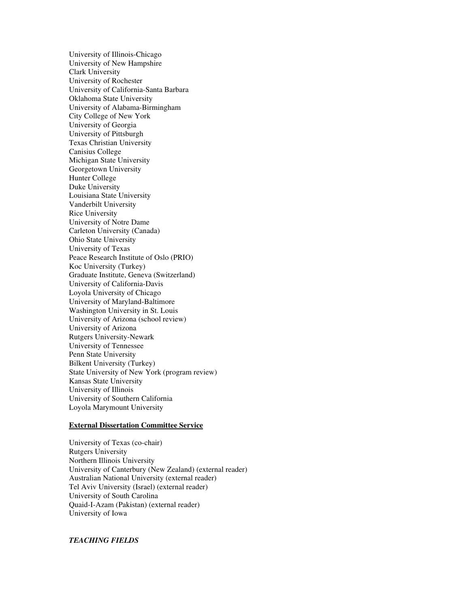University of Illinois-Chicago University of New Hampshire Clark University University of Rochester University of California-Santa Barbara Oklahoma State University University of Alabama-Birmingham City College of New York University of Georgia University of Pittsburgh Texas Christian University Canisius College Michigan State University Georgetown University Hunter College Duke University Louisiana State University Vanderbilt University Rice University University of Notre Dame Carleton University (Canada) Ohio State University University of Texas Peace Research Institute of Oslo (PRIO) Koc University (Turkey) Graduate Institute, Geneva (Switzerland) University of California-Davis Loyola University of Chicago University of Maryland-Baltimore Washington University in St. Louis University of Arizona (school review) University of Arizona Rutgers University-Newark University of Tennessee Penn State University Bilkent University (Turkey) State University of New York (program review) Kansas State University University of Illinois University of Southern California Loyola Marymount University

## **External Dissertation Committee Service**

University of Texas (co-chair) Rutgers University Northern Illinois University University of Canterbury (New Zealand) (external reader) Australian National University (external reader) Tel Aviv University (Israel) (external reader) University of South Carolina Quaid-I-Azam (Pakistan) (external reader) University of Iowa

# *TEACHING FIELDS*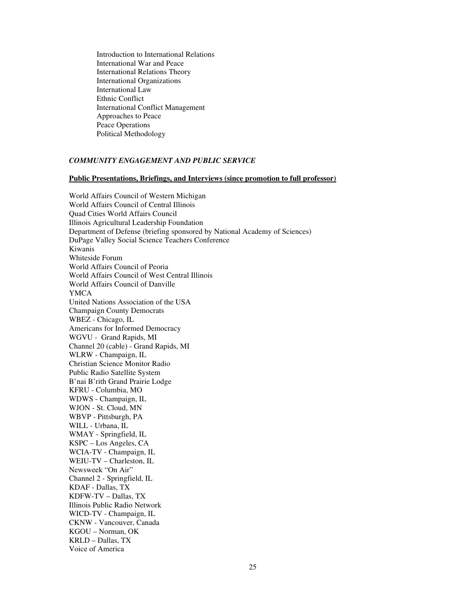Introduction to International Relations International War and Peace International Relations Theory International Organizations International Law Ethnic Conflict International Conflict Management Approaches to Peace Peace Operations Political Methodology

# *COMMUNITY ENGAGEMENT AND PUBLIC SERVICE*

#### **Public Presentations, Briefings, and Interviews (since promotion to full professor)**

World Affairs Council of Western Michigan World Affairs Council of Central Illinois Quad Cities World Affairs Council Illinois Agricultural Leadership Foundation Department of Defense (briefing sponsored by National Academy of Sciences) DuPage Valley Social Science Teachers Conference Kiwanis Whiteside Forum World Affairs Council of Peoria World Affairs Council of West Central Illinois World Affairs Council of Danville YMCA United Nations Association of the USA Champaign County Democrats WBEZ - Chicago, IL Americans for Informed Democracy WGVU - Grand Rapids, MI Channel 20 (cable) - Grand Rapids, MI WLRW - Champaign, IL Christian Science Monitor Radio Public Radio Satellite System B'nai B'rith Grand Prairie Lodge KFRU - Columbia, MO WDWS - Champaign, IL WJON - St. Cloud, MN WBVP - Pittsburgh, PA WILL - Urbana, IL WMAY - Springfield, IL KSPC – Los Angeles, CA WCIA-TV - Champaign, IL WEIU-TV – Charleston, IL Newsweek "On Air" Channel 2 - Springfield, IL KDAF - Dallas, TX KDFW-TV – Dallas, TX Illinois Public Radio Network WICD-TV - Champaign, IL CKNW - Vancouver, Canada KGOU – Norman, OK KRLD – Dallas, TX Voice of America